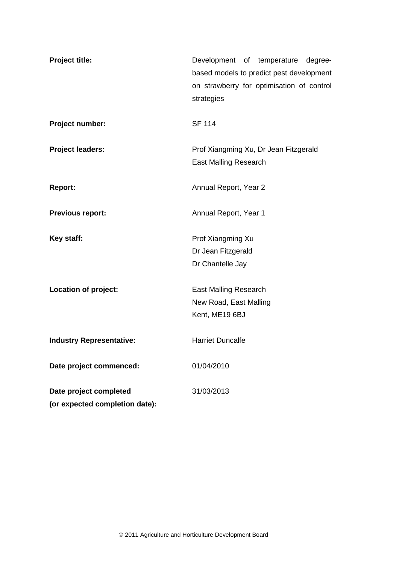| Project title:                  | Development of temperature degree-<br>based models to predict pest development<br>on strawberry for optimisation of control<br>strategies |
|---------------------------------|-------------------------------------------------------------------------------------------------------------------------------------------|
| Project number:                 | <b>SF 114</b>                                                                                                                             |
| <b>Project leaders:</b>         | Prof Xiangming Xu, Dr Jean Fitzgerald<br><b>East Malling Research</b>                                                                     |
| <b>Report:</b>                  | Annual Report, Year 2                                                                                                                     |
| <b>Previous report:</b>         | Annual Report, Year 1                                                                                                                     |
| Key staff:                      | Prof Xiangming Xu                                                                                                                         |
|                                 | Dr Jean Fitzgerald                                                                                                                        |
|                                 | Dr Chantelle Jay                                                                                                                          |
| Location of project:            | <b>East Malling Research</b>                                                                                                              |
|                                 | New Road, East Malling                                                                                                                    |
|                                 | Kent, ME19 6BJ                                                                                                                            |
| <b>Industry Representative:</b> | <b>Harriet Duncalfe</b>                                                                                                                   |
| Date project commenced:         | 01/04/2010                                                                                                                                |
| Date project completed          | 31/03/2013                                                                                                                                |
| (or expected completion date):  |                                                                                                                                           |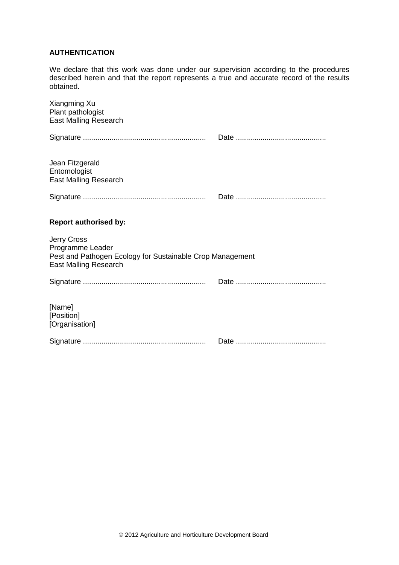# **AUTHENTICATION**

We declare that this work was done under our supervision according to the procedures described herein and that the report represents a true and accurate record of the results obtained.

| Xiangming Xu<br>Plant pathologist<br><b>East Malling Research</b>                                                                   |  |
|-------------------------------------------------------------------------------------------------------------------------------------|--|
|                                                                                                                                     |  |
| Jean Fitzgerald<br>Entomologist<br><b>East Malling Research</b>                                                                     |  |
|                                                                                                                                     |  |
| <b>Report authorised by:</b>                                                                                                        |  |
| <b>Jerry Cross</b><br>Programme Leader<br>Pest and Pathogen Ecology for Sustainable Crop Management<br><b>East Malling Research</b> |  |
|                                                                                                                                     |  |
| [Name]<br>[Position]<br>[Organisation]                                                                                              |  |
|                                                                                                                                     |  |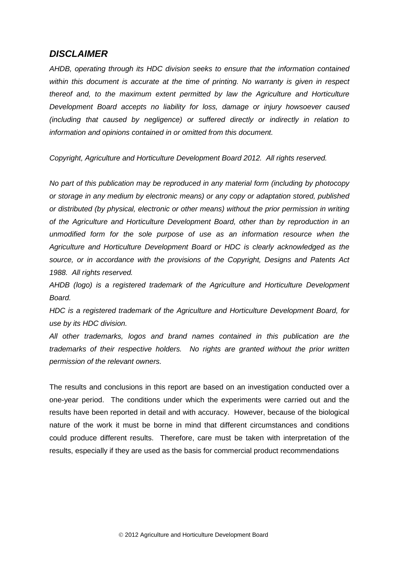# *DISCLAIMER*

*AHDB, operating through its HDC division seeks to ensure that the information contained within this document is accurate at the time of printing. No warranty is given in respect thereof and, to the maximum extent permitted by law the Agriculture and Horticulture Development Board accepts no liability for loss, damage or injury howsoever caused (including that caused by negligence) or suffered directly or indirectly in relation to information and opinions contained in or omitted from this document.* 

*Copyright, Agriculture and Horticulture Development Board 2012. All rights reserved.*

*No part of this publication may be reproduced in any material form (including by photocopy or storage in any medium by electronic means) or any copy or adaptation stored, published or distributed (by physical, electronic or other means) without the prior permission in writing of the Agriculture and Horticulture Development Board, other than by reproduction in an unmodified form for the sole purpose of use as an information resource when the Agriculture and Horticulture Development Board or HDC is clearly acknowledged as the source, or in accordance with the provisions of the Copyright, Designs and Patents Act 1988. All rights reserved.* 

*AHDB (logo) is a registered trademark of the Agriculture and Horticulture Development Board.*

*HDC is a registered trademark of the Agriculture and Horticulture Development Board, for use by its HDC division.*

*All other trademarks, logos and brand names contained in this publication are the trademarks of their respective holders. No rights are granted without the prior written permission of the relevant owners.*

The results and conclusions in this report are based on an investigation conducted over a one-year period. The conditions under which the experiments were carried out and the results have been reported in detail and with accuracy. However, because of the biological nature of the work it must be borne in mind that different circumstances and conditions could produce different results. Therefore, care must be taken with interpretation of the results, especially if they are used as the basis for commercial product recommendations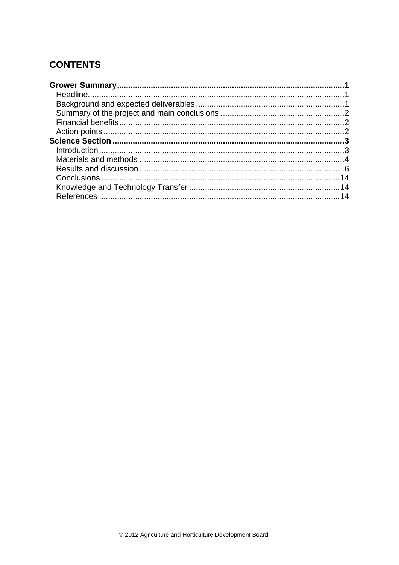# **CONTENTS**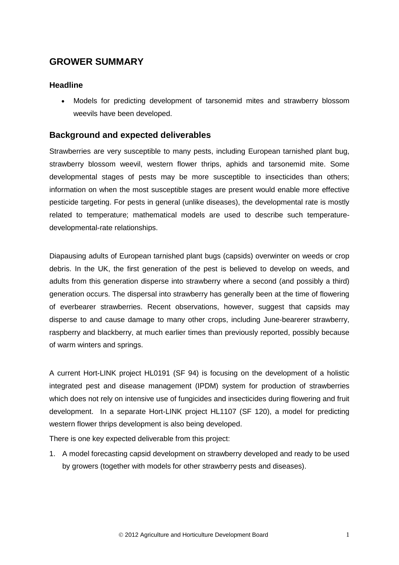# <span id="page-4-0"></span>**GROWER SUMMARY**

# <span id="page-4-1"></span>**Headline**

• Models for predicting development of tarsonemid mites and strawberry blossom weevils have been developed.

# <span id="page-4-2"></span>**Background and expected deliverables**

Strawberries are very susceptible to many pests, including European tarnished plant bug, strawberry blossom weevil, western flower thrips, aphids and tarsonemid mite. Some developmental stages of pests may be more susceptible to insecticides than others; information on when the most susceptible stages are present would enable more effective pesticide targeting. For pests in general (unlike diseases), the developmental rate is mostly related to temperature; mathematical models are used to describe such temperaturedevelopmental-rate relationships.

Diapausing adults of European tarnished plant bugs (capsids) overwinter on weeds or crop debris. In the UK, the first generation of the pest is believed to develop on weeds, and adults from this generation disperse into strawberry where a second (and possibly a third) generation occurs. The dispersal into strawberry has generally been at the time of flowering of everbearer strawberries. Recent observations, however, suggest that capsids may disperse to and cause damage to many other crops, including June-bearerer strawberry, raspberry and blackberry, at much earlier times than previously reported, possibly because of warm winters and springs.

A current Hort-LINK project HL0191 (SF 94) is focusing on the development of a holistic integrated pest and disease management (IPDM) system for production of strawberries which does not rely on intensive use of fungicides and insecticides during flowering and fruit development. In a separate Hort-LINK project HL1107 (SF 120), a model for predicting western flower thrips development is also being developed.

There is one key expected deliverable from this project:

1. A model forecasting capsid development on strawberry developed and ready to be used by growers (together with models for other strawberry pests and diseases).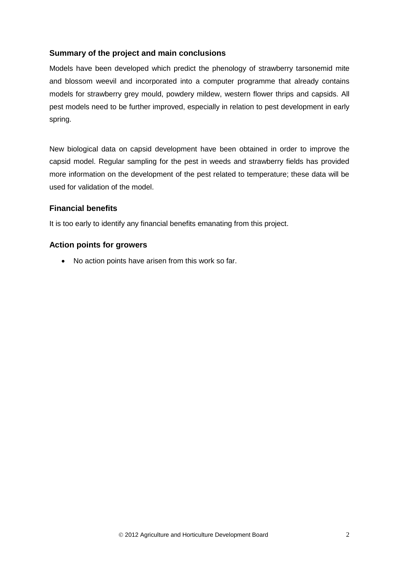# <span id="page-5-0"></span>**Summary of the project and main conclusions**

Models have been developed which predict the phenology of strawberry tarsonemid mite and blossom weevil and incorporated into a computer programme that already contains models for strawberry grey mould, powdery mildew, western flower thrips and capsids. All pest models need to be further improved, especially in relation to pest development in early spring.

New biological data on capsid development have been obtained in order to improve the capsid model. Regular sampling for the pest in weeds and strawberry fields has provided more information on the development of the pest related to temperature; these data will be used for validation of the model.

# <span id="page-5-1"></span>**Financial benefits**

It is too early to identify any financial benefits emanating from this project.

#### <span id="page-5-2"></span>**Action points for growers**

• No action points have arisen from this work so far.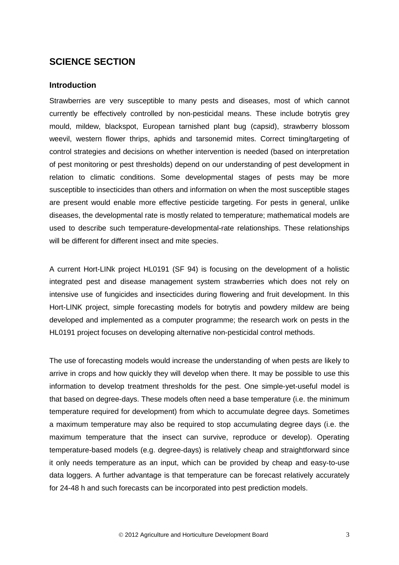# <span id="page-6-0"></span>**SCIENCE SECTION**

#### <span id="page-6-1"></span>**Introduction**

Strawberries are very susceptible to many pests and diseases, most of which cannot currently be effectively controlled by non-pesticidal means. These include botrytis grey mould, mildew, blackspot, European tarnished plant bug (capsid), strawberry blossom weevil, western flower thrips, aphids and tarsonemid mites. Correct timing/targeting of control strategies and decisions on whether intervention is needed (based on interpretation of pest monitoring or pest thresholds) depend on our understanding of pest development in relation to climatic conditions. Some developmental stages of pests may be more susceptible to insecticides than others and information on when the most susceptible stages are present would enable more effective pesticide targeting. For pests in general, unlike diseases, the developmental rate is mostly related to temperature; mathematical models are used to describe such temperature-developmental-rate relationships. These relationships will be different for different insect and mite species.

A current Hort-LINk project HL0191 (SF 94) is focusing on the development of a holistic integrated pest and disease management system strawberries which does not rely on intensive use of fungicides and insecticides during flowering and fruit development. In this Hort-LINK project, simple forecasting models for botrytis and powdery mildew are being developed and implemented as a computer programme; the research work on pests in the HL0191 project focuses on developing alternative non-pesticidal control methods.

The use of forecasting models would increase the understanding of when pests are likely to arrive in crops and how quickly they will develop when there. It may be possible to use this information to develop treatment thresholds for the pest. One simple-yet-useful model is that based on degree-days. These models often need a base temperature (i.e. the minimum temperature required for development) from which to accumulate degree days. Sometimes a maximum temperature may also be required to stop accumulating degree days (i.e. the maximum temperature that the insect can survive, reproduce or develop). Operating temperature-based models (e.g. degree-days) is relatively cheap and straightforward since it only needs temperature as an input, which can be provided by cheap and easy-to-use data loggers. A further advantage is that temperature can be forecast relatively accurately for 24-48 h and such forecasts can be incorporated into pest prediction models.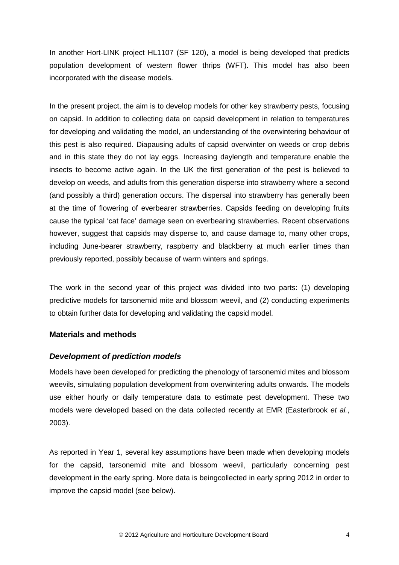In another Hort-LINK project HL1107 (SF 120), a model is being developed that predicts population development of western flower thrips (WFT). This model has also been incorporated with the disease models.

In the present project, the aim is to develop models for other key strawberry pests, focusing on capsid. In addition to collecting data on capsid development in relation to temperatures for developing and validating the model, an understanding of the overwintering behaviour of this pest is also required. Diapausing adults of capsid overwinter on weeds or crop debris and in this state they do not lay eggs. Increasing daylength and temperature enable the insects to become active again. In the UK the first generation of the pest is believed to develop on weeds, and adults from this generation disperse into strawberry where a second (and possibly a third) generation occurs. The dispersal into strawberry has generally been at the time of flowering of everbearer strawberries. Capsids feeding on developing fruits cause the typical 'cat face' damage seen on everbearing strawberries. Recent observations however, suggest that capsids may disperse to, and cause damage to, many other crops, including June-bearer strawberry, raspberry and blackberry at much earlier times than previously reported, possibly because of warm winters and springs.

The work in the second year of this project was divided into two parts: (1) developing predictive models for tarsonemid mite and blossom weevil, and (2) conducting experiments to obtain further data for developing and validating the capsid model.

#### <span id="page-7-0"></span>**Materials and methods**

#### *Development of prediction models*

Models have been developed for predicting the phenology of tarsonemid mites and blossom weevils, simulating population development from overwintering adults onwards. The models use either hourly or daily temperature data to estimate pest development. These two models were developed based on the data collected recently at EMR (Easterbrook *et al.*, 2003).

As reported in Year 1, several key assumptions have been made when developing models for the capsid, tarsonemid mite and blossom weevil, particularly concerning pest development in the early spring. More data is beingcollected in early spring 2012 in order to improve the capsid model (see below).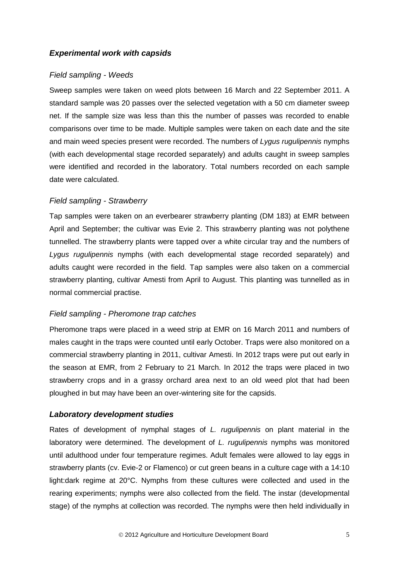# *Experimental work with capsids*

#### *Field sampling - Weeds*

Sweep samples were taken on weed plots between 16 March and 22 September 2011. A standard sample was 20 passes over the selected vegetation with a 50 cm diameter sweep net. If the sample size was less than this the number of passes was recorded to enable comparisons over time to be made. Multiple samples were taken on each date and the site and main weed species present were recorded. The numbers of *Lygus rugulipennis* nymphs (with each developmental stage recorded separately) and adults caught in sweep samples were identified and recorded in the laboratory. Total numbers recorded on each sample date were calculated.

#### *Field sampling - Strawberry*

Tap samples were taken on an everbearer strawberry planting (DM 183) at EMR between April and September; the cultivar was Evie 2. This strawberry planting was not polythene tunnelled. The strawberry plants were tapped over a white circular tray and the numbers of *Lygus rugulipennis* nymphs (with each developmental stage recorded separately) and adults caught were recorded in the field. Tap samples were also taken on a commercial strawberry planting, cultivar Amesti from April to August. This planting was tunnelled as in normal commercial practise.

#### *Field sampling - Pheromone trap catches*

Pheromone traps were placed in a weed strip at EMR on 16 March 2011 and numbers of males caught in the traps were counted until early October. Traps were also monitored on a commercial strawberry planting in 2011, cultivar Amesti. In 2012 traps were put out early in the season at EMR, from 2 February to 21 March. In 2012 the traps were placed in two strawberry crops and in a grassy orchard area next to an old weed plot that had been ploughed in but may have been an over-wintering site for the capsids.

# *Laboratory development studies*

Rates of development of nymphal stages of *L. rugulipennis* on plant material in the laboratory were determined. The development of *L. rugulipennis* nymphs was monitored until adulthood under four temperature regimes. Adult females were allowed to lay eggs in strawberry plants (cv. Evie-2 or Flamenco) or cut green beans in a culture cage with a 14:10 light:dark regime at 20°C. Nymphs from these cultures were collected and used in the rearing experiments; nymphs were also collected from the field. The instar (developmental stage) of the nymphs at collection was recorded. The nymphs were then held individually in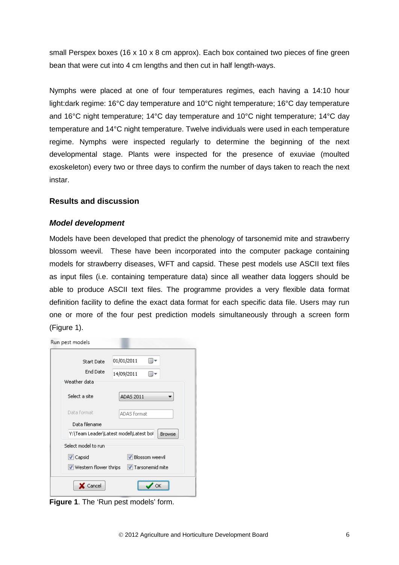small Perspex boxes (16 x 10 x 8 cm approx). Each box contained two pieces of fine green bean that were cut into 4 cm lengths and then cut in half length-ways.

Nymphs were placed at one of four temperatures regimes, each having a 14:10 hour light:dark regime: 16°C day temperature and 10°C night temperature; 16°C day temperature and 16°C night temperature; 14°C day temperature and 10°C night temperature; 14°C day temperature and 14°C night temperature. Twelve individuals were used in each temperature regime. Nymphs were inspected regularly to determine the beginning of the next developmental stage. Plants were inspected for the presence of exuviae (moulted exoskeleton) every two or three days to confirm the number of days taken to reach the next instar.

#### <span id="page-9-0"></span>**Results and discussion**

#### *Model development*

Models have been developed that predict the phenology of tarsonemid mite and strawberry blossom weevil. These have been incorporated into the computer package containing models for strawberry diseases, WFT and capsid. These pest models use ASCII text files as input files (i.e. containing temperature data) since all weather data loggers should be able to produce ASCII text files. The programme provides a very flexible data format definition facility to define the exact data format for each specific data file. Users may run one or more of the four pest prediction models simultaneously through a screen form (Figure 1).

| Run pest models                                                                  |  |
|----------------------------------------------------------------------------------|--|
| 01/01/2011<br><b>Start Date</b><br><b>End Date</b><br>14/09/2011<br>Weather data |  |
| Select a site<br>ADAS 2011                                                       |  |
| Data format<br>ADAS format                                                       |  |
| Data filename                                                                    |  |
| Y:\Team Leader\Latest model\Latest bol<br><b>Browse</b>                          |  |
| Select model to run.                                                             |  |
| V Blossom weevil<br>V Capsid                                                     |  |
| ■ Tarsonemid mite<br>$\triangledown$ Western flower thrips                       |  |
| Cancel                                                                           |  |

**Figure 1**. The 'Run pest models' form.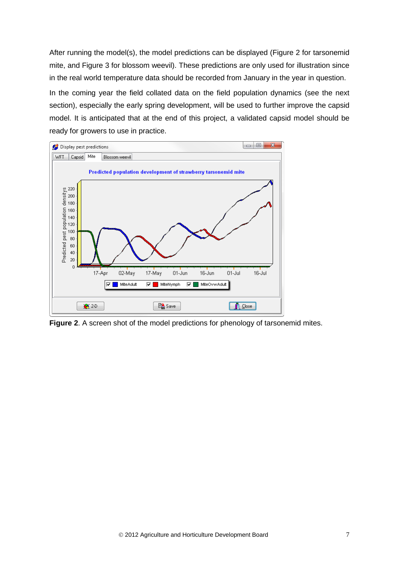After running the model(s), the model predictions can be displayed (Figure 2 for tarsonemid mite, and Figure 3 for blossom weevil). These predictions are only used for illustration since in the real world temperature data should be recorded from January in the year in question.

In the coming year the field collated data on the field population dynamics (see the next section), especially the early spring development, will be used to further improve the capsid model. It is anticipated that at the end of this project, a validated capsid model should be ready for growers to use in practice.



**Figure 2**. A screen shot of the model predictions for phenology of tarsonemid mites.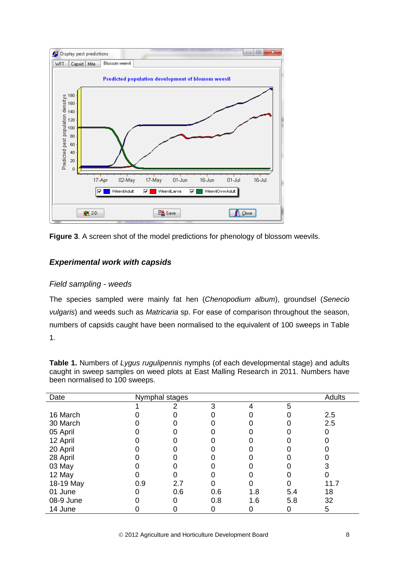

**Figure 3**. A screen shot of the model predictions for phenology of blossom weevils.

# *Experimental work with capsids*

#### *Field sampling - weeds*

The species sampled were mainly fat hen (*Chenopodium album*), groundsel (*Senecio vulgaris*) and weeds such as *Matricaria* sp. For ease of comparison throughout the season, numbers of capsids caught have been normalised to the equivalent of 100 sweeps in Table 1.

**Table 1.** Numbers of *Lygus rugulipennis* nymphs (of each developmental stage) and adults caught in sweep samples on weed plots at East Malling Research in 2011. Numbers have been normalised to 100 sweeps.

| Date      | Nymphal stages |     |     |     | Adults |      |
|-----------|----------------|-----|-----|-----|--------|------|
|           |                |     | 3   | 4   | 5      |      |
| 16 March  |                |     |     |     |        | 2.5  |
| 30 March  |                |     |     |     |        | 2.5  |
| 05 April  |                |     |     |     |        |      |
| 12 April  |                |     |     |     |        |      |
| 20 April  |                |     |     |     |        |      |
| 28 April  |                |     |     |     |        |      |
| 03 May    |                |     |     |     |        |      |
| 12 May    |                |     |     |     |        |      |
| 18-19 May | 0.9            | 2.7 |     |     |        | 11.7 |
| 01 June   |                | 0.6 | 0.6 | 1.8 | 5.4    | 18   |
| 08-9 June |                |     | 0.8 | 1.6 | 5.8    | 32   |
| 14 June   |                |     |     |     |        | 5    |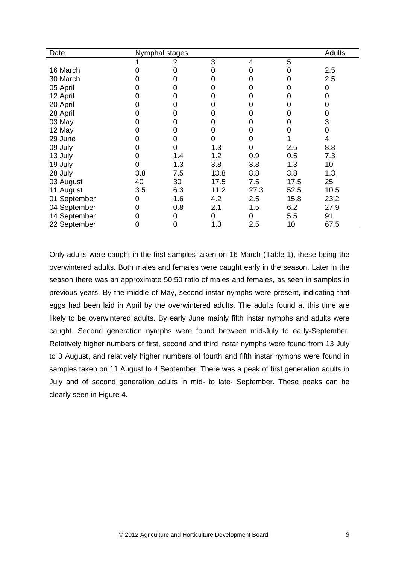| Date         | Nymphal stages |     |      |         | <b>Adults</b> |      |
|--------------|----------------|-----|------|---------|---------------|------|
|              |                | 2   | 3    | 4       | 5             |      |
| 16 March     |                | 0   |      | Ω       |               | 2.5  |
| 30 March     |                | O)  |      | 0       |               | 2.5  |
| 05 April     |                | 0   |      | 0       |               | 0    |
| 12 April     |                | 0   |      | O       |               | 0    |
| 20 April     |                | 0   |      |         |               |      |
| 28 April     |                | 0   |      | O       |               | 0    |
| 03 May       |                | 0   |      | O       |               | 3    |
| 12 May       |                | Ω   |      | 0       |               |      |
| 29 June      |                | 0   |      |         |               | 4    |
| 09 July      |                | 0   | 1.3  | 0       | 2.5           | 8.8  |
| 13 July      |                | 1.4 | 1.2  | 0.9     | 0.5           | 7.3  |
| 19 July      |                | 1.3 | 3.8  | 3.8     | 1.3           | 10   |
| 28 July      | 3.8            | 7.5 | 13.8 | 8.8     | 3.8           | 1.3  |
| 03 August    | 40             | 30  | 17.5 | 7.5     | 17.5          | 25   |
| 11 August    | 3.5            | 6.3 | 11.2 | 27.3    | 52.5          | 10.5 |
| 01 September | 0              | 1.6 | 4.2  | 2.5     | 15.8          | 23.2 |
| 04 September | 0              | 0.8 | 2.1  | 1.5     | 6.2           | 27.9 |
| 14 September |                | 0   | 0    | 0       | 5.5           | 91   |
| 22 September |                | 0   | 1.3  | $2.5\,$ | 10            | 67.5 |

Only adults were caught in the first samples taken on 16 March (Table 1), these being the overwintered adults. Both males and females were caught early in the season. Later in the season there was an approximate 50:50 ratio of males and females, as seen in samples in previous years. By the middle of May, second instar nymphs were present, indicating that eggs had been laid in April by the overwintered adults. The adults found at this time are likely to be overwintered adults. By early June mainly fifth instar nymphs and adults were caught. Second generation nymphs were found between mid-July to early-September. Relatively higher numbers of first, second and third instar nymphs were found from 13 July to 3 August, and relatively higher numbers of fourth and fifth instar nymphs were found in samples taken on 11 August to 4 September. There was a peak of first generation adults in July and of second generation adults in mid- to late- September. These peaks can be clearly seen in Figure 4.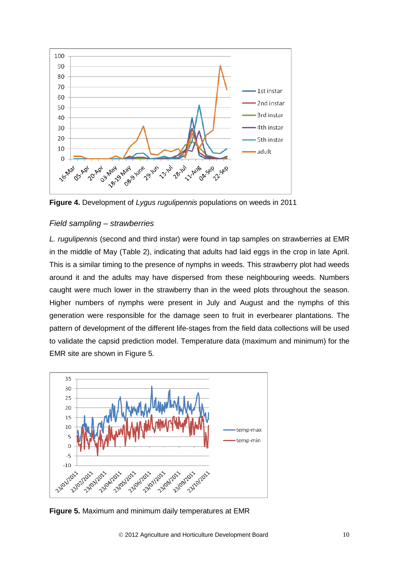

**Figure 4.** Development of *Lygus rugulipennis* populations on weeds in 2011

#### *Field sampling – strawberries*

*L. rugulipennis* (second and third instar) were found in tap samples on strawberries at EMR in the middle of May (Table 2), indicating that adults had laid eggs in the crop in late April. This is a similar timing to the presence of nymphs in weeds. This strawberry plot had weeds around it and the adults may have dispersed from these neighbouring weeds. Numbers caught were much lower in the strawberry than in the weed plots throughout the season. Higher numbers of nymphs were present in July and August and the nymphs of this generation were responsible for the damage seen to fruit in everbearer plantations. The pattern of development of the different life-stages from the field data collections will be used to validate the capsid prediction model. Temperature data (maximum and minimum) for the EMR site are shown in Figure 5.



**Figure 5.** Maximum and minimum daily temperatures at EMR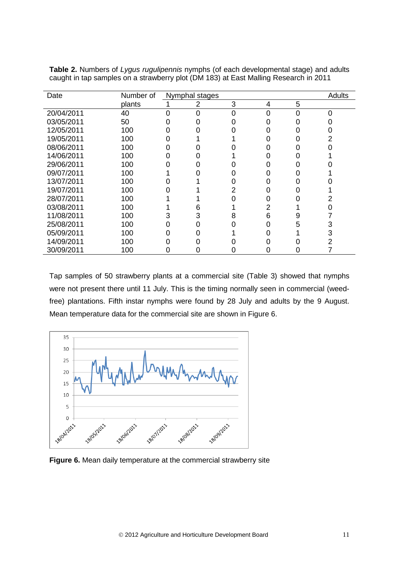| Date       | Number of | Nymphal stages |   |   |   | Adults |
|------------|-----------|----------------|---|---|---|--------|
|            | plants    | 2              | 3 | 4 | 5 |        |
| 20/04/2011 | 40        |                |   | Ω | O | O      |
| 03/05/2011 | 50        |                |   |   |   |        |
| 12/05/2011 | 100       |                |   |   |   |        |
| 19/05/2011 | 100       |                |   |   |   |        |
| 08/06/2011 | 100       |                |   |   |   |        |
| 14/06/2011 | 100       |                |   |   |   |        |
| 29/06/2011 | 100       |                |   |   |   |        |
| 09/07/2011 | 100       |                |   |   |   |        |
| 13/07/2011 | 100       |                |   |   |   |        |
| 19/07/2011 | 100       |                |   |   |   |        |
| 28/07/2011 | 100       |                |   |   |   |        |
| 03/08/2011 | 100       | 6              |   |   |   |        |
| 11/08/2011 | 100       | 3              | 8 | հ | 9 |        |
| 25/08/2011 | 100       |                |   |   | 5 | 3      |
| 05/09/2011 | 100       |                |   |   |   | 3      |
| 14/09/2011 | 100       |                |   |   |   |        |
| 30/09/2011 | 100       |                |   |   |   |        |

**Table 2.** Numbers of *Lygus rugulipennis* nymphs (of each developmental stage) and adults caught in tap samples on a strawberry plot (DM 183) at East Malling Research in 2011

Tap samples of 50 strawberry plants at a commercial site (Table 3) showed that nymphs were not present there until 11 July. This is the timing normally seen in commercial (weedfree) plantations. Fifth instar nymphs were found by 28 July and adults by the 9 August. Mean temperature data for the commercial site are shown in Figure 6.



**Figure 6.** Mean daily temperature at the commercial strawberry site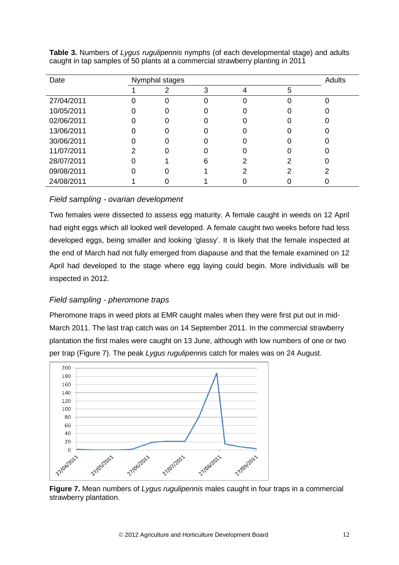| Date       | Nymphal stages |                  |  |  |   | <b>Adults</b> |
|------------|----------------|------------------|--|--|---|---------------|
|            |                | າ                |  |  | 5 |               |
| 27/04/2011 |                | 0                |  |  |   |               |
| 10/05/2011 |                |                  |  |  |   |               |
| 02/06/2011 |                | 0                |  |  |   |               |
| 13/06/2011 |                | $\left( \right)$ |  |  |   |               |
| 30/06/2011 |                |                  |  |  |   |               |
| 11/07/2011 |                | 0                |  |  |   |               |
| 28/07/2011 |                |                  |  |  |   |               |
| 09/08/2011 |                |                  |  |  |   |               |
| 24/08/2011 |                |                  |  |  |   |               |

**Table 3.** Numbers of *Lygus rugulipennis* nymphs (of each developmental stage) and adults caught in tap samples of 50 plants at a commercial strawberry planting in 2011

# *Field sampling - ovarian development*

Two females were dissected to assess egg maturity. A female caught in weeds on 12 April had eight eggs which all looked well developed. A female caught two weeks before had less developed eggs, being smaller and looking 'glassy'. It is likely that the female inspected at the end of March had not fully emerged from diapause and that the female examined on 12 April had developed to the stage where egg laying could begin. More individuals will be inspected in 2012.

#### *Field sampling - pheromone traps*

Pheromone traps in weed plots at EMR caught males when they were first put out in mid-March 2011. The last trap catch was on 14 September 2011. In the commercial strawberry plantation the first males were caught on 13 June, although with low numbers of one or two per trap (Figure 7). The peak *Lygus rugulipennis* catch for males was on 24 August.



**Figure 7.** Mean numbers of *Lygus rugulipennis* males caught in four traps in a commercial strawberry plantation.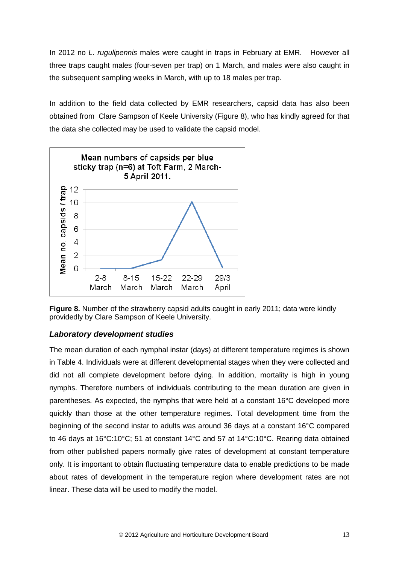In 2012 no *L. rugulipennis* males were caught in traps in February at EMR. However all three traps caught males (four-seven per trap) on 1 March, and males were also caught in the subsequent sampling weeks in March, with up to 18 males per trap.

In addition to the field data collected by EMR researchers, capsid data has also been obtained from Clare Sampson of Keele University (Figure 8), who has kindly agreed for that the data she collected may be used to validate the capsid model.





# *Laboratory development studies*

The mean duration of each nymphal instar (days) at different temperature regimes is shown in Table 4. Individuals were at different developmental stages when they were collected and did not all complete development before dying. In addition, mortality is high in young nymphs. Therefore numbers of individuals contributing to the mean duration are given in parentheses. As expected, the nymphs that were held at a constant 16°C developed more quickly than those at the other temperature regimes. Total development time from the beginning of the second instar to adults was around 36 days at a constant 16°C compared to 46 days at 16°C:10°C; 51 at constant 14°C and 57 at 14°C:10°C. Rearing data obtained from other published papers normally give rates of development at constant temperature only. It is important to obtain fluctuating temperature data to enable predictions to be made about rates of development in the temperature region where development rates are not linear. These data will be used to modify the model.